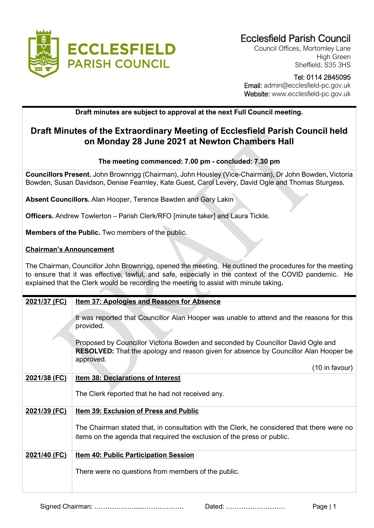

Council Offices, Mortomley Lane High Green Sheffield, S35 3HS

### Tel: 0114 2845095 Email: admin@ecclesfield-pc.gov.uk Website: www.ecclesfield-pc.gov.uk

# **Draft minutes are subject to approval at the next Full Council meeting.**

# **Draft Minutes of the Extraordinary Meeting of Ecclesfield Parish Council held on Monday 28 June 2021 at Newton Chambers Hall**

## **The meeting commenced: 7.00 pm - concluded: 7.30 pm**

**Councillors Present.** John Brownrigg (Chairman), John Housley (Vice-Chairman), Dr John Bowden, Victoria Bowden, Susan Davidson, Denise Fearnley, Kate Guest, Carol Levery, David Ogle and Thomas Sturgess.

**Absent Councillors.** Alan Hooper, Terence Bawden and Gary Lakin

**Officers.** Andrew Towlerton – Parish Clerk/RFO [minute taker] and Laura Tickle.

**Members of the Public.** Two members of the public.

### **Chairman's Announcement**

The Chairman, Councillor John Brownrigg, opened the meeting. He outlined the procedures for the meeting to ensure that it was effective, lawful, and safe, especially in the context of the COVID pandemic. He explained that the Clerk would be recording the meeting to assist with minute taking**.**

| 2021/37 (FC) | <b>Item 37: Apologies and Reasons for Absence</b>                                                                                                                                            |
|--------------|----------------------------------------------------------------------------------------------------------------------------------------------------------------------------------------------|
|              | It was reported that Councillor Alan Hooper was unable to attend and the reasons for this<br>provided.                                                                                       |
|              | Proposed by Councillor Victoria Bowden and seconded by Councillor David Ogle and<br><b>RESOLVED:</b> That the apology and reason given for absence by Councillor Alan Hooper be<br>approved. |
|              | (10 in favour)                                                                                                                                                                               |
| 2021/38 (FC) | <b>Item 38: Declarations of Interest</b><br>The Clerk reported that he had not received any.                                                                                                 |
| 2021/39 (FC) | <b>Item 39: Exclusion of Press and Public</b>                                                                                                                                                |
|              | The Chairman stated that, in consultation with the Clerk, he considered that there were no<br>items on the agenda that required the exclusion of the press or public.                        |
| 2021/40 (FC) | <b>Item 40: Public Participation Session</b>                                                                                                                                                 |
|              | There were no questions from members of the public.                                                                                                                                          |

Signed Chairman: ……………….....………………. Dated: ……………………… Page | 1